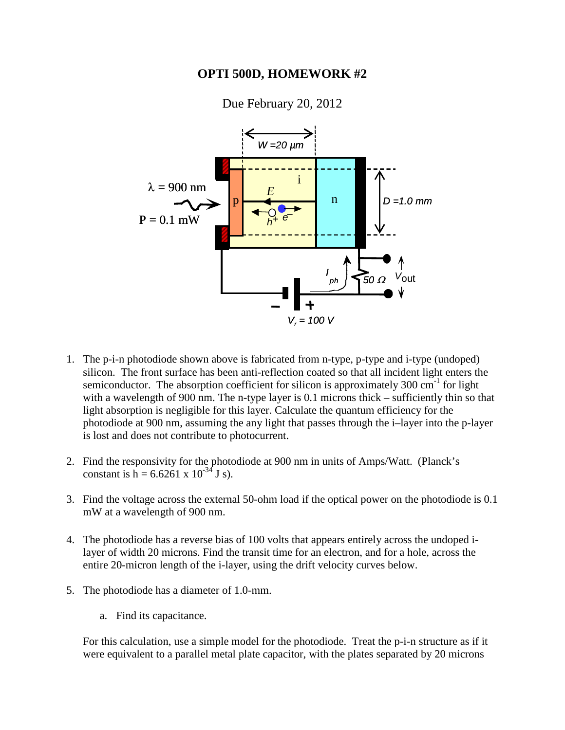## **OPTI 500D, HOMEWORK #2**



Due February 20, 2012

- 1. The p-i-n photodiode shown above is fabricated from n-type, p-type and i-type (undoped) silicon. The front surface has been anti-reflection coated so that all incident light enters the semiconductor. The absorption coefficient for silicon is approximately  $300 \text{ cm}^{-1}$  for light with a wavelength of 900 nm. The n-type layer is 0.1 microns thick – sufficiently thin so that light absorption is negligible for this layer. Calculate the quantum efficiency for the photodiode at 900 nm, assuming the any light that passes through the i–layer into the p-layer is lost and does not contribute to photocurrent.
- 2. Find the responsivity for the photodiode at 900 nm in units of Amps/Watt. (Planck's constant is  $h = 6.6261 \times 10^{-34}$  J s).
- 3. Find the voltage across the external 50-ohm load if the optical power on the photodiode is 0.1 mW at a wavelength of 900 nm.
- 4. The photodiode has a reverse bias of 100 volts that appears entirely across the undoped ilayer of width 20 microns. Find the transit time for an electron, and for a hole, across the entire 20-micron length of the i-layer, using the drift velocity curves below.
- 5. The photodiode has a diameter of 1.0-mm.
	- a. Find its capacitance.

For this calculation, use a simple model for the photodiode. Treat the p-i-n structure as if it were equivalent to a parallel metal plate capacitor, with the plates separated by 20 microns